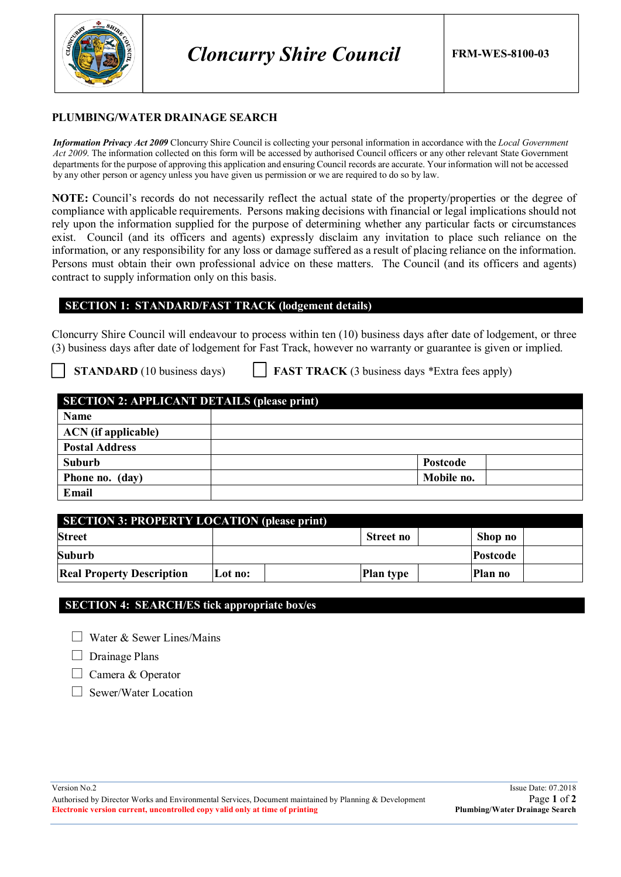

## **PLUMBING/WATER DRAINAGE SEARCH**

*Information Privacy Act 2009* Cloncurry Shire Council is collecting your personal information in accordance with the *Local Government Act 2009*. The information collected on this form will be accessed by authorised Council officers or any other relevant State Government departments for the purpose of approving this application and ensuring Council records are accurate. Your information will not be accessed by any other person or agency unless you have given us permission or we are required to do so by law.

**NOTE:** Council's records do not necessarily reflect the actual state of the property/properties or the degree of compliance with applicable requirements. Persons making decisions with financial or legal implications should not rely upon the information supplied for the purpose of determining whether any particular facts or circumstances exist. Council (and its officers and agents) expressly disclaim any invitation to place such reliance on the information, or any responsibility for any loss or damage suffered as a result of placing reliance on the information. Persons must obtain their own professional advice on these matters. The Council (and its officers and agents) contract to supply information only on this basis.

## **SECTION 1: STANDARD/FAST TRACK (lodgement details)**

Cloncurry Shire Council will endeavour to process within ten (10) business days after date of lodgement, or three (3) business days after date of lodgement for Fast Track, however no warranty or guarantee is given or implied.

**STANDARD** (10 business days) **FAST TRACK** (3 business days \*Extra fees apply)

| <b>SECTION 2: APPLICANT DETAILS (please print)</b> |            |  |  |  |
|----------------------------------------------------|------------|--|--|--|
| Name                                               |            |  |  |  |
| <b>ACN</b> (if applicable)                         |            |  |  |  |
| <b>Postal Address</b>                              |            |  |  |  |
| Suburb                                             | Postcode   |  |  |  |
| Phone no. (day)                                    | Mobile no. |  |  |  |
| Email                                              |            |  |  |  |

| <b>SECTION 3: PROPERTY LOCATION (please print)</b> |         |                  |                 |  |  |
|----------------------------------------------------|---------|------------------|-----------------|--|--|
| <b>Street</b>                                      |         | Street no        | Shop no         |  |  |
| Suburb                                             |         |                  | <b>Postcode</b> |  |  |
| <b>Real Property Description</b>                   | Lot no: | <b>Plan type</b> | Plan no         |  |  |

## **SECTION 4: SEARCH/ES tick appropriate box/es**

 $\Box$  Water & Sewer Lines/Mains

 $\Box$  Drainage Plans

 $\Box$  Camera & Operator

□ Sewer/Water Location